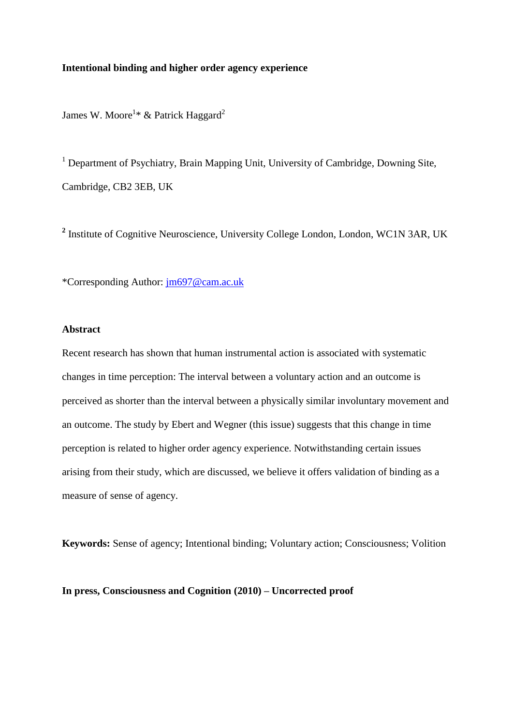## **Intentional binding and higher order agency experience**

James W. Moore<sup>1\*</sup> & Patrick Haggard<sup>2</sup>

<sup>1</sup> Department of Psychiatry, Brain Mapping Unit, University of Cambridge, Downing Site, Cambridge, CB2 3EB, UK

<sup>2</sup> Institute of Cognitive Neuroscience, University College London, London, WC1N 3AR, UK

\*Corresponding Author: [jm697@cam.ac.uk](mailto:jm697@cam.ac.uk)

## **Abstract**

Recent research has shown that human instrumental action is associated with systematic changes in time perception: The interval between a voluntary action and an outcome is perceived as shorter than the interval between a physically similar involuntary movement and an outcome. The study by Ebert and Wegner (this issue) suggests that this change in time perception is related to higher order agency experience. Notwithstanding certain issues arising from their study, which are discussed, we believe it offers validation of binding as a measure of sense of agency.

**Keywords:** Sense of agency; Intentional binding; Voluntary action; Consciousness; Volition

**In press, Consciousness and Cognition (2010) – Uncorrected proof**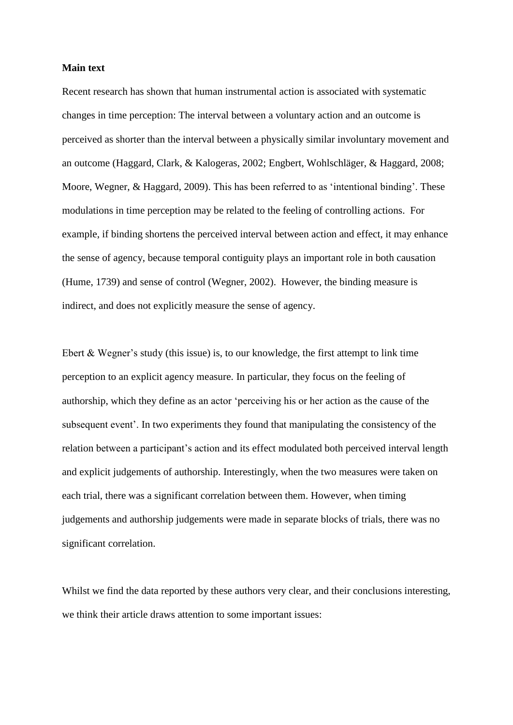## **Main text**

Recent research has shown that human instrumental action is associated with systematic changes in time perception: The interval between a voluntary action and an outcome is perceived as shorter than the interval between a physically similar involuntary movement and an outcome (Haggard, Clark, & Kalogeras, 2002; Engbert, Wohlschläger, & Haggard, 2008; Moore, Wegner, & Haggard, 2009). This has been referred to as 'intentional binding'. These modulations in time perception may be related to the feeling of controlling actions. For example, if binding shortens the perceived interval between action and effect, it may enhance the sense of agency, because temporal contiguity plays an important role in both causation (Hume, 1739) and sense of control (Wegner, 2002). However, the binding measure is indirect, and does not explicitly measure the sense of agency.

Ebert & Wegner's study (this issue) is, to our knowledge, the first attempt to link time perception to an explicit agency measure. In particular, they focus on the feeling of authorship, which they define as an actor 'perceiving his or her action as the cause of the subsequent event'. In two experiments they found that manipulating the consistency of the relation between a participant's action and its effect modulated both perceived interval length and explicit judgements of authorship. Interestingly, when the two measures were taken on each trial, there was a significant correlation between them. However, when timing judgements and authorship judgements were made in separate blocks of trials, there was no significant correlation.

Whilst we find the data reported by these authors very clear, and their conclusions interesting, we think their article draws attention to some important issues: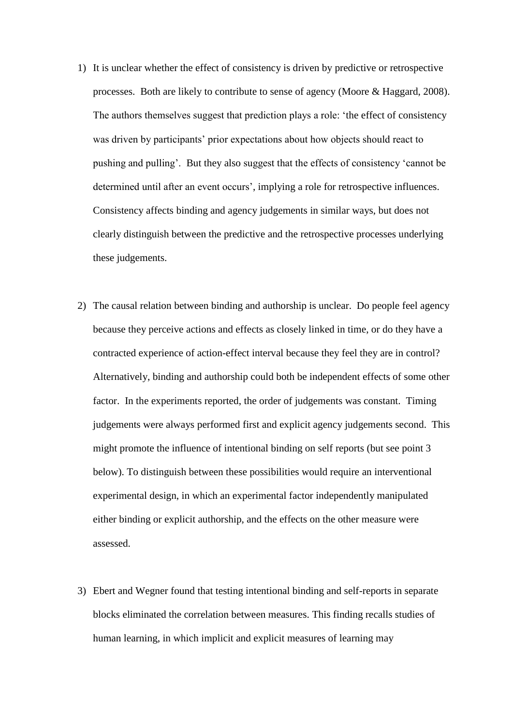- 1) It is unclear whether the effect of consistency is driven by predictive or retrospective processes. Both are likely to contribute to sense of agency (Moore & Haggard, 2008). The authors themselves suggest that prediction plays a role: 'the effect of consistency was driven by participants' prior expectations about how objects should react to pushing and pulling'. But they also suggest that the effects of consistency 'cannot be determined until after an event occurs', implying a role for retrospective influences. Consistency affects binding and agency judgements in similar ways, but does not clearly distinguish between the predictive and the retrospective processes underlying these judgements.
- 2) The causal relation between binding and authorship is unclear. Do people feel agency because they perceive actions and effects as closely linked in time, or do they have a contracted experience of action-effect interval because they feel they are in control? Alternatively, binding and authorship could both be independent effects of some other factor. In the experiments reported, the order of judgements was constant. Timing judgements were always performed first and explicit agency judgements second. This might promote the influence of intentional binding on self reports (but see point 3 below). To distinguish between these possibilities would require an interventional experimental design, in which an experimental factor independently manipulated either binding or explicit authorship, and the effects on the other measure were assessed.
- 3) Ebert and Wegner found that testing intentional binding and self-reports in separate blocks eliminated the correlation between measures. This finding recalls studies of human learning, in which implicit and explicit measures of learning may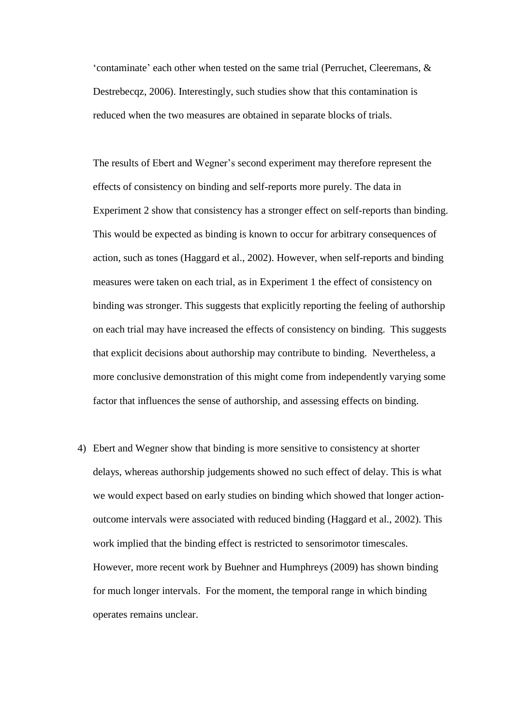'contaminate' each other when tested on the same trial (Perruchet, Cleeremans, & Destrebecqz, 2006). Interestingly, such studies show that this contamination is reduced when the two measures are obtained in separate blocks of trials.

The results of Ebert and Wegner's second experiment may therefore represent the effects of consistency on binding and self-reports more purely. The data in Experiment 2 show that consistency has a stronger effect on self-reports than binding. This would be expected as binding is known to occur for arbitrary consequences of action, such as tones (Haggard et al., 2002). However, when self-reports and binding measures were taken on each trial, as in Experiment 1 the effect of consistency on binding was stronger. This suggests that explicitly reporting the feeling of authorship on each trial may have increased the effects of consistency on binding. This suggests that explicit decisions about authorship may contribute to binding. Nevertheless, a more conclusive demonstration of this might come from independently varying some factor that influences the sense of authorship, and assessing effects on binding.

4) Ebert and Wegner show that binding is more sensitive to consistency at shorter delays, whereas authorship judgements showed no such effect of delay. This is what we would expect based on early studies on binding which showed that longer actionoutcome intervals were associated with reduced binding (Haggard et al., 2002). This work implied that the binding effect is restricted to sensorimotor timescales. However, more recent work by Buehner and Humphreys (2009) has shown binding for much longer intervals. For the moment, the temporal range in which binding operates remains unclear.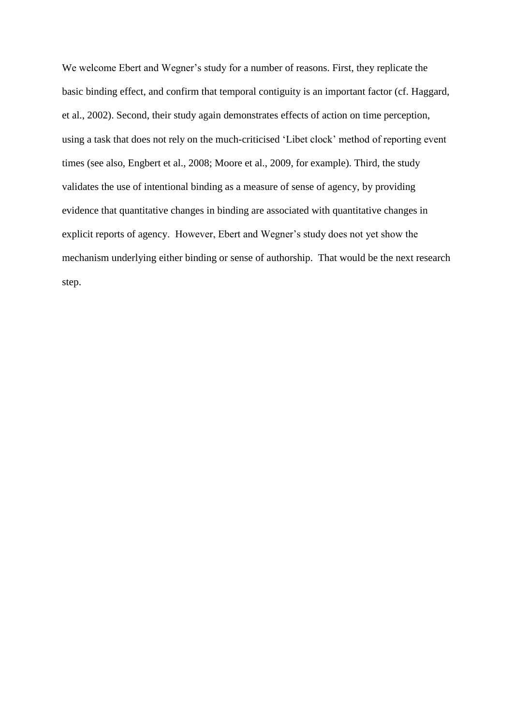We welcome Ebert and Wegner's study for a number of reasons. First, they replicate the basic binding effect, and confirm that temporal contiguity is an important factor (cf. Haggard, et al., 2002). Second, their study again demonstrates effects of action on time perception, using a task that does not rely on the much-criticised 'Libet clock' method of reporting event times (see also, Engbert et al., 2008; Moore et al., 2009, for example). Third, the study validates the use of intentional binding as a measure of sense of agency, by providing evidence that quantitative changes in binding are associated with quantitative changes in explicit reports of agency. However, Ebert and Wegner's study does not yet show the mechanism underlying either binding or sense of authorship. That would be the next research step.